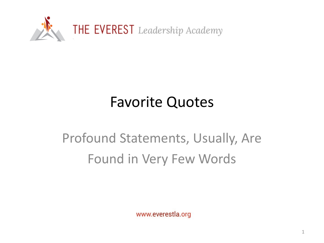

## Favorite Quotes

## Profound Statements, Usually, Are Found in Very Few Words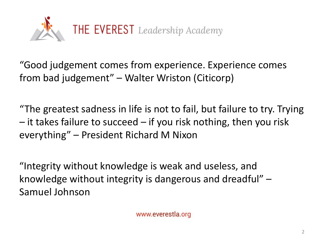

"Good judgement comes from experience. Experience comes from bad judgement" – Walter Wriston (Citicorp)

"The greatest sadness in life is not to fail, but failure to try. Trying  $-$  it takes failure to succeed  $-$  if you risk nothing, then you risk everything" – President Richard M Nixon

"Integrity without knowledge is weak and useless, and knowledge without integrity is dangerous and dreadful" – Samuel Johnson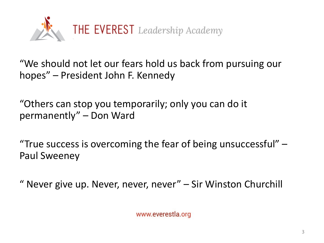

"We should not let our fears hold us back from pursuing our hopes" – President John F. Kennedy

"Others can stop you temporarily; only you can do it permanently" – Don Ward

"True success is overcoming the fear of being unsuccessful"  $-$ Paul Sweeney

" Never give up. Never, never, never" – Sir Winston Churchill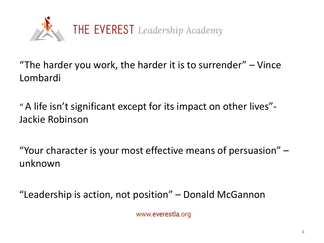

"The harder you work, the harder it is to surrender"  $-$  Vince Lombardi

" A life isn't significant except for its impact on other lives"- Jackie Robinson

"Your character is your most effective means of persuasion" – unknown

"Leadership is action, not position" – Donald McGannon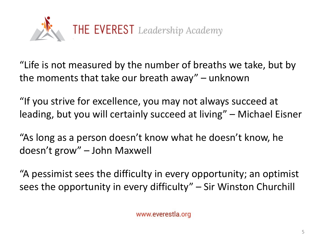

"Life is not measured by the number of breaths we take, but by the moments that take our breath away" – unknown

"If you strive for excellence, you may not always succeed at leading, but you will certainly succeed at living" – Michael Eisner

"As long as a person doesn't know what he doesn't know, he doesn't grow" – John Maxwell

"A pessimist sees the difficulty in every opportunity; an optimist sees the opportunity in every difficulty" – Sir Winston Churchill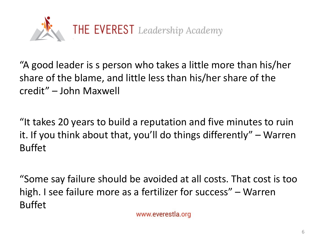

"A good leader is s person who takes a little more than his/her share of the blame, and little less than his/her share of the credit" – John Maxwell

"It takes 20 years to build a reputation and five minutes to ruin it. If you think about that, you'll do things differently" – Warren Buffet

"Some say failure should be avoided at all costs. That cost is too high. I see failure more as a fertilizer for success" – Warren Buffet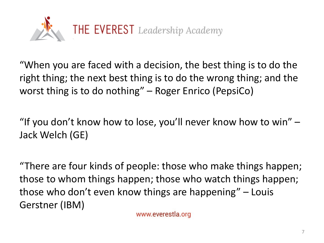

"When you are faced with a decision, the best thing is to do the right thing; the next best thing is to do the wrong thing; and the worst thing is to do nothing" – Roger Enrico (PepsiCo)

"If you don't know how to lose, you'll never know how to win" – Jack Welch (GE)

"There are four kinds of people: those who make things happen; those to whom things happen; those who watch things happen; those who don't even know things are happening" – Louis Gerstner (IBM)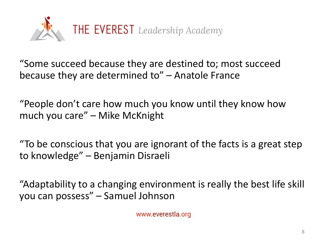

"Some succeed because they are destined to; most succeed because they are determined to" – Anatole France

"People don't care how much you know until they know how much you care" – Mike McKnight

"To be conscious that you are ignorant of the facts is a great step to knowledge" – Benjamin Disraeli

"Adaptability to a changing environment is really the best life skill you can possess" – Samuel Johnson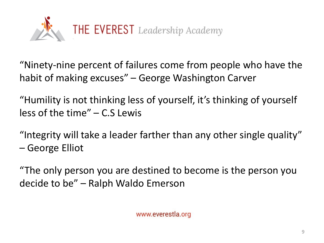

"Ninety-nine percent of failures come from people who have the habit of making excuses" – George Washington Carver

"Humility is not thinking less of yourself, it's thinking of yourself less of the time" – C.S Lewis

"Integrity will take a leader farther than any other single quality" – George Elliot

"The only person you are destined to become is the person you decide to be" – Ralph Waldo Emerson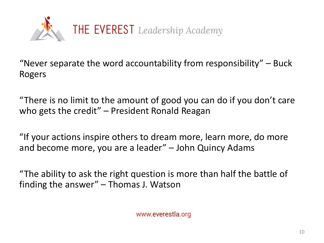

"Never separate the word accountability from responsibility"  $-$  Buck Rogers

"There is no limit to the amount of good you can do if you don't care who gets the credit" – President Ronald Reagan

"If your actions inspire others to dream more, learn more, do more and become more, you are a leader" – John Quincy Adams

"The ability to ask the right question is more than half the battle of finding the answer" – Thomas J. Watson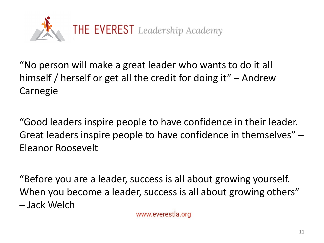

"No person will make a great leader who wants to do it all himself / herself or get all the credit for doing it" – Andrew Carnegie

"Good leaders inspire people to have confidence in their leader. Great leaders inspire people to have confidence in themselves" – Eleanor Roosevelt

"Before you are a leader, success is all about growing yourself. When you become a leader, success is all about growing others" – Jack Welch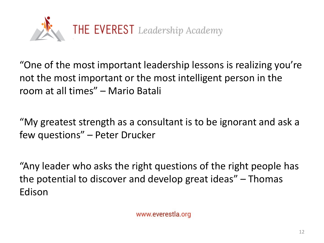

"One of the most important leadership lessons is realizing you're not the most important or the most intelligent person in the room at all times" – Mario Batali

"My greatest strength as a consultant is to be ignorant and ask a few questions" – Peter Drucker

"Any leader who asks the right questions of the right people has the potential to discover and develop great ideas" – Thomas Edison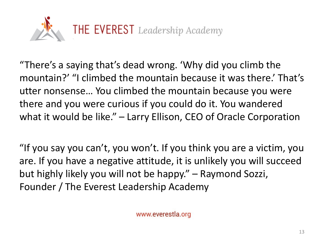

"There's a saying that's dead wrong. 'Why did you climb the mountain?' "I climbed the mountain because it was there.' That's utter nonsense… You climbed the mountain because you were there and you were curious if you could do it. You wandered what it would be like." – Larry Ellison, CEO of Oracle Corporation

"If you say you can't, you won't. If you think you are a victim, you are. If you have a negative attitude, it is unlikely you will succeed but highly likely you will not be happy." – Raymond Sozzi, Founder / The Everest Leadership Academy